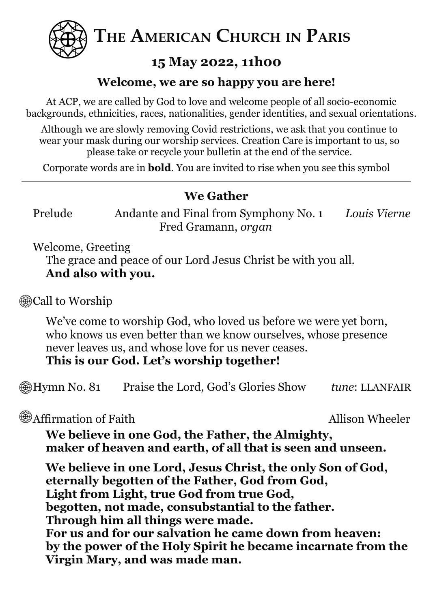

**THE AMERICAN CHURCH IN PARIS**

# **15 May 2022, 11h00**

### **Welcome, we are so happy you are here!**

At ACP, we are called by God to love and welcome people of all socio-economic backgrounds, ethnicities, races, nationalities, gender identities, and sexual orientations.

Although we are slowly removing Covid restrictions, we ask that you continue to wear your mask during our worship services. Creation Care is important to us, so please take or recycle your bulletin at the end of the service.

Corporate words are in **bold**. You are invited to rise when you see this symbol

## **We Gather**

Prelude Andante and Final from Symphony No. 1 *Louis Vierne* Fred Gramann, *organ*

Welcome, Greeting

The grace and peace of our Lord Jesus Christ be with you all. **And also with you.**

**@Call to Worship** 

We've come to worship God, who loved us before we were yet born, who knows us even better than we know ourselves, whose presence never leaves us, and whose love for us never ceases.

**This is our God. Let's worship together!**

Hymn No. 81 Praise the Lord, God's Glories Show *tune*: LLANFAIR

 $\circledast$  Affirmation of Faith  $\circledast$  Allison Wheeler

**We believe in one God, the Father, the Almighty, maker of heaven and earth, of all that is seen and unseen.**

**We believe in one Lord, Jesus Christ, the only Son of God, eternally begotten of the Father, God from God, Light from Light, true God from true God, begotten, not made, consubstantial to the father. Through him all things were made. For us and for our salvation he came down from heaven: by the power of the Holy Spirit he became incarnate from the Virgin Mary, and was made man.**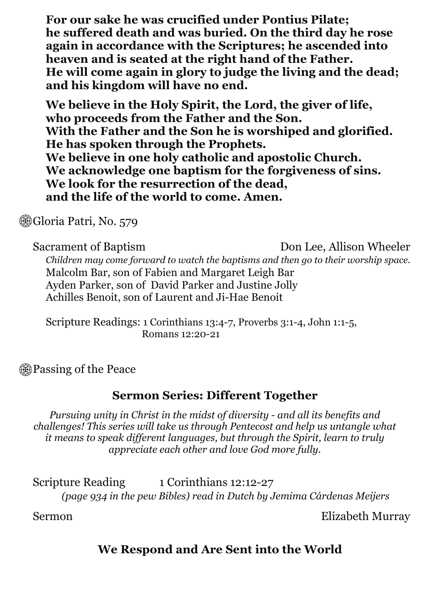**For our sake he was crucified under Pontius Pilate; he suffered death and was buried. On the third day he rose again in accordance with the Scriptures; he ascended into heaven and is seated at the right hand of the Father. He will come again in glory to judge the living and the dead; and his kingdom will have no end.**

**We believe in the Holy Spirit, the Lord, the giver of life, who proceeds from the Father and the Son. With the Father and the Son he is worshiped and glorified. He has spoken through the Prophets. We believe in one holy catholic and apostolic Church. We acknowledge one baptism for the forgiveness of sins. We look for the resurrection of the dead, and the life of the world to come. Amen.**

**Gioria Patri, No. 579** 

Sacrament of Baptism Don Lee, Allison Wheeler *Children may come forward to watch the baptisms and then go to their worship space.* Malcolm Bar, son of Fabien and Margaret Leigh Bar Ayden Parker, son of David Parker and Justine Jolly Achilles Benoit, son of Laurent and Ji-Hae Benoit

Scripture Readings: 1 Corinthians 13:4-7, Proverbs 3:1-4, John 1:1-5, Romans 12:20-21

**<sup><sup>3</sup>**</sup>Passing of the Peace

#### **Sermon Series: Different Together**

*Pursuing unity in Christ in the midst of diversity - and all its benefits and challenges! This series will take us through Pentecost and help us untangle what it means to speak dif erent languages, but through the Spirit, learn to truly appreciate each other and love God more fully.*

Scripture Reading 1 Corinthians 12:12-27 *(page 934 in the pew Bibles) read in Dutch by Jemima Cárdenas Meijers*

Sermon Elizabeth Murray

## **We Respond and Are Sent into the World**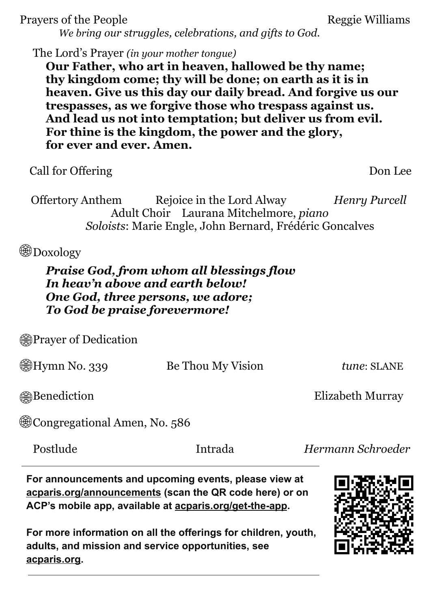| Prayers of the People                                                 | We bring our struggles, celebrations, and gifts to God.                                                                                                                                                                                                                                                                                                           | Reggie Williams      |
|-----------------------------------------------------------------------|-------------------------------------------------------------------------------------------------------------------------------------------------------------------------------------------------------------------------------------------------------------------------------------------------------------------------------------------------------------------|----------------------|
| The Lord's Prayer (in your mother tongue)<br>for ever and ever. Amen. | Our Father, who art in heaven, hallowed be thy name;<br>thy kingdom come; thy will be done; on earth as it is in<br>heaven. Give us this day our daily bread. And forgive us our<br>trespasses, as we for give those who trespass against us.<br>And lead us not into temptation; but deliver us from evil.<br>For thine is the kingdom, the power and the glory, |                      |
| Call for Offering                                                     |                                                                                                                                                                                                                                                                                                                                                                   | Don Lee              |
| Offertory Anthem                                                      | Rejoice in the Lord Alway<br>Adult Choir Laurana Mitchelmore, piano<br><i>Soloists:</i> Marie Engle, John Bernard, Frédéric Goncalves                                                                                                                                                                                                                             | <b>Henry Purcell</b> |
| Doxology                                                              |                                                                                                                                                                                                                                                                                                                                                                   |                      |
| In heav'n above and earth below!<br>To God be praise forevermore!     | <b>Praise God, from whom all blessings flow</b><br>One God, three persons, we adore;                                                                                                                                                                                                                                                                              |                      |
| ∰Prayer of Dedication                                                 |                                                                                                                                                                                                                                                                                                                                                                   |                      |
| ∰Hymn No. 339                                                         | Be Thou My Vision                                                                                                                                                                                                                                                                                                                                                 | tune: SLANE          |
| <b>@Benediction</b>                                                   |                                                                                                                                                                                                                                                                                                                                                                   | Elizabeth Murray     |
| ্রী Congregational Amen, No. 586                                      |                                                                                                                                                                                                                                                                                                                                                                   |                      |
| Postlude                                                              | Intrada                                                                                                                                                                                                                                                                                                                                                           | Hermann Schroeder    |

**For announcements and upcoming events, please view at acparis.org/announcements (scan the QR code here) or on ACP's mobile app, available at acparis.org/get-the-app.**

**For more information on all the offerings for children, youth, adults, and mission and service opportunities, see acparis.org.**